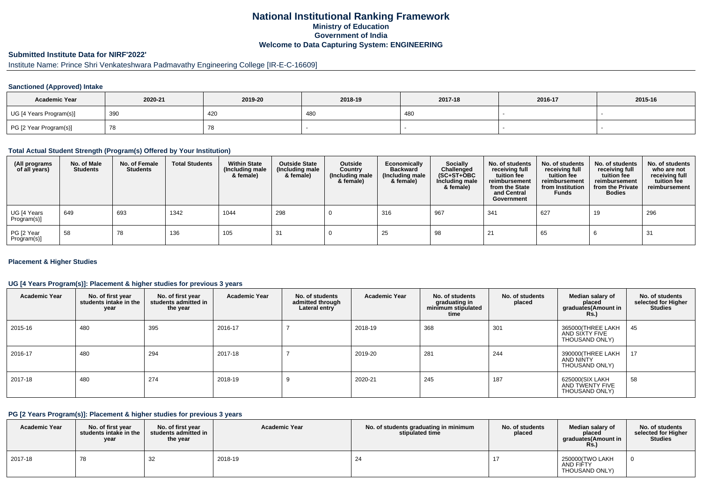## **National Institutional Ranking FrameworkMinistry of Education Government of IndiaWelcome to Data Capturing System: ENGINEERING**

# **Submitted Institute Data for NIRF'2022'**

# Institute Name: Prince Shri Venkateshwara Padmavathy Engineering College [IR-E-C-16609]

### **Sanctioned (Approved) Intake**

| <b>Academic Year</b>    | 2020-21 | 2019-20 | 2018-19 | 2017-18 | 2016-17 | 2015-16 |
|-------------------------|---------|---------|---------|---------|---------|---------|
| UG [4 Years Program(s)] | 390     | 420     | 480     | 480     |         |         |
| PG [2 Year Program(s)]  | 78      | 78      |         |         |         |         |

### **Total Actual Student Strength (Program(s) Offered by Your Institution)**

| (All programs<br>of all years) | No. of Male<br><b>Students</b> | No. of Female<br>Students | <b>Total Students</b> | <b>Within State</b><br>(Including male<br>& female) | <b>Outside State</b><br>(Including male<br>& female) | Outside<br>Country<br>(Including male<br>& female) | Economically<br><b>Backward</b><br>(Including male<br>& female) | <b>Socially</b><br>Challenged<br>$(SC+ST+OBC)$<br>Including male<br>& female) | No. of students<br>receiving full<br>tuition fee<br>reimbursement<br>from the State<br>and Central<br>Government | No. of students<br>receiving full<br>tuition fee<br>reimbursement<br>from Institution<br><b>Funds</b> | No. of students<br>receiving full<br>tuition fee<br>reimbursement<br>from the Private<br><b>Bodies</b> | No. of students<br>who are not<br>receiving full<br>tuition fee<br>reimbursement |
|--------------------------------|--------------------------------|---------------------------|-----------------------|-----------------------------------------------------|------------------------------------------------------|----------------------------------------------------|-----------------------------------------------------------------|-------------------------------------------------------------------------------|------------------------------------------------------------------------------------------------------------------|-------------------------------------------------------------------------------------------------------|--------------------------------------------------------------------------------------------------------|----------------------------------------------------------------------------------|
| UG [4 Years<br>Program(s)]     | 649                            | 693                       | 1342                  | 1044                                                | 298                                                  |                                                    | 316                                                             | 967                                                                           | 341                                                                                                              | 627                                                                                                   | 19                                                                                                     | 296                                                                              |
| PG [2 Year<br>Program(s)]      | 58                             | 78                        | 136                   | 105                                                 | 31                                                   |                                                    | 25                                                              | 98                                                                            | 21                                                                                                               | 65                                                                                                    |                                                                                                        | 31                                                                               |

### **Placement & Higher Studies**

### **UG [4 Years Program(s)]: Placement & higher studies for previous 3 years**

| <b>Academic Year</b> | No. of first year<br>students intake in the<br>year | No. of first year<br>students admitted in<br>the year | <b>Academic Year</b> | No. of students<br>admitted through<br>Lateral entry | <b>Academic Year</b> | No. of students<br>graduating in<br>minimum stipulated<br>time | No. of students<br>placed | Median salary of<br>placed<br>graduates(Amount in<br><b>Rs.)</b> | No. of students<br>selected for Higher<br><b>Studies</b> |
|----------------------|-----------------------------------------------------|-------------------------------------------------------|----------------------|------------------------------------------------------|----------------------|----------------------------------------------------------------|---------------------------|------------------------------------------------------------------|----------------------------------------------------------|
| 2015-16              | 480                                                 | 395                                                   | 2016-17              |                                                      | 2018-19              | 368                                                            | 301                       | 365000 THREE LAKH<br>AND SIXTY FIVE<br>THOUSAND ONLY)            | 45                                                       |
| 2016-17              | 480                                                 | 294                                                   | 2017-18              |                                                      | 2019-20              | 281                                                            | 244                       | 390000(THREE LAKH<br>AND NINTY<br>THOUSAND ONLY)                 | 17                                                       |
| 2017-18              | 480                                                 | 274                                                   | 2018-19              |                                                      | 2020-21              | 245                                                            | 187                       | 625000(SIX LAKH<br>AND TWENTY FIVE<br>THOUSAND ONLY)             | 58                                                       |

### **PG [2 Years Program(s)]: Placement & higher studies for previous 3 years**

| <b>Academic Year</b> | No. of first year<br>students intake in the<br>year | No. of first vear<br>students admitted in<br>the year | <b>Academic Year</b> | No. of students graduating in minimum<br>stipulated time | No. of students<br>placed | Median salary of<br>placed<br>araduates(Amount in<br>Rs. | No. of students<br>selected for Higher<br>Studies |
|----------------------|-----------------------------------------------------|-------------------------------------------------------|----------------------|----------------------------------------------------------|---------------------------|----------------------------------------------------------|---------------------------------------------------|
| 2017-18              | 78                                                  | 32                                                    | 2018-19              | 24                                                       |                           | 250000(TWO LAKH<br>AND FIFTY<br>THOUSAND ONLY)           |                                                   |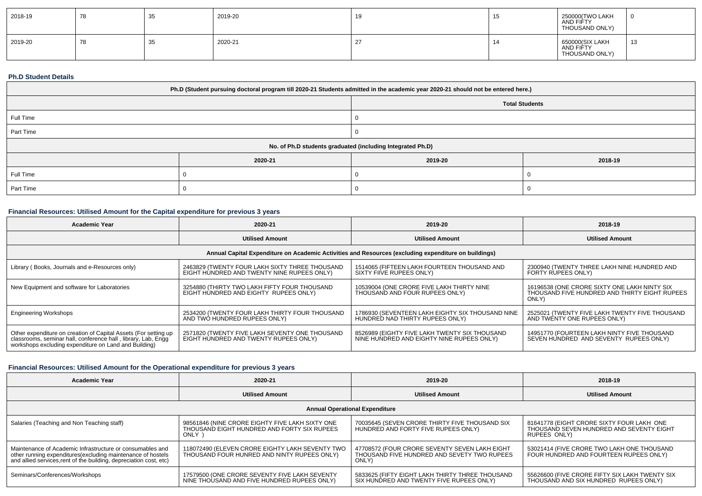| 2018-19 | 78 | ູ | 2019-20 | . .      | ن ا | 250000(TWO LAKH<br>AND FIFTY<br>THOUSAND ONLY) |                  |
|---------|----|---|---------|----------|-----|------------------------------------------------|------------------|
| 2019-20 | 78 |   | 2020-21 | <u>.</u> |     | 650000(SIX LAKH<br>AND FIFTY<br>THOUSAND ONLY) | $\sqrt{2}$<br>ັບ |

#### **Ph.D Student Details**

| Ph.D (Student pursuing doctoral program till 2020-21 Students admitted in the academic year 2020-21 should not be entered here.) |         |         |                       |  |
|----------------------------------------------------------------------------------------------------------------------------------|---------|---------|-----------------------|--|
|                                                                                                                                  |         |         | <b>Total Students</b> |  |
| Full Time                                                                                                                        |         |         |                       |  |
| Part Time                                                                                                                        |         |         |                       |  |
| No. of Ph.D students graduated (including Integrated Ph.D)                                                                       |         |         |                       |  |
|                                                                                                                                  | 2020-21 | 2019-20 | 2018-19               |  |
| Full Time                                                                                                                        |         |         |                       |  |
| Part Time                                                                                                                        |         |         |                       |  |

## **Financial Resources: Utilised Amount for the Capital expenditure for previous 3 years**

| <b>Academic Year</b>                                                                                                                                                                      | 2020-21                                                                                      | 2019-20                                                                                              | 2018-19                                                                                                |  |
|-------------------------------------------------------------------------------------------------------------------------------------------------------------------------------------------|----------------------------------------------------------------------------------------------|------------------------------------------------------------------------------------------------------|--------------------------------------------------------------------------------------------------------|--|
|                                                                                                                                                                                           | <b>Utilised Amount</b>                                                                       | <b>Utilised Amount</b>                                                                               | <b>Utilised Amount</b>                                                                                 |  |
|                                                                                                                                                                                           |                                                                                              | Annual Capital Expenditure on Academic Activities and Resources (excluding expenditure on buildings) |                                                                                                        |  |
| Library (Books, Journals and e-Resources only)                                                                                                                                            | 2463829 (TWENTY FOUR LAKH SIXTY THREE THOUSAND<br>EIGHT HÙNDRED AND TWENTY NINE RUPEES ONLY) | 1514065 (FIFTEEN LAKH FOURTEEN THOUSAND AND<br>SIXTY FIIVE RUPEES ONLY)                              | 2300940 (TWENTY THREE LAKH NINE HUNDRED AND<br>FORTY RUPEES ONLY)                                      |  |
| New Equipment and software for Laboratories                                                                                                                                               | 3254880 (THIRTY TWO LAKH FIFTY FOUR THOUSAND<br>EIGHT HÙNDRED AND EIGHTY RUPEES ONLY)        | 10539004 (ONE CRORE FIVE LAKH THIRTY NINE<br>THOUSAND AND FOUR RUPEES ONLY)                          | 16196538 (ONE CRORE SIXTY ONE LAKH NINTY SIX<br>THOUSAND FIVE HUNDRED AND THIRTY EIGHT RUPEES<br>ONLY) |  |
| <b>Engineering Workshops</b>                                                                                                                                                              | 2534200 (TWENTY FOUR LAKH THIRTY FOUR THOUSAND<br>AND TWO HUNDRED RUPEES ONLY)               | 1786930 (SEVENTEEN LAKH EIGHTY SIX THOUSAND NINE<br>HUNDRED NAD THIRTY RUPEES ONLY)                  | 2525021 (TWENTY FIVE LAKH TWENTY FIVE THOUSAND<br>AND TWENTY ONE RUPEES ONLY)                          |  |
| Other expenditure on creation of Capital Assets (For setting up<br>classrooms, seminar hall, conference hall, library, Lab, Engg<br>workshops excluding expenditure on Land and Building) | 2571820 (TWENTY FIVE LAKH SEVENTY ONE THOUSAND<br>EIGHT HUNDRED AND TWENTY RUPEES ONLY)      | 8526989 (EIGHTY FIVE LAKH TWENTY SIX THOUSAND<br>NINE HUNDRED AND EIGHTY NINE RUPEES ONLY)           | 14951770 (FOURTEEN LAKH NINTY FIVE THOUSAND<br>SEVEN HUNDRED AND SEVENTY RUPEES ONLY)                  |  |

# **Financial Resources: Utilised Amount for the Operational expenditure for previous 3 years**

| <b>Academic Year</b>                                                                                                                                                                            | 2020-21                                                                                                | 2019-20                                                                                               | 2018-19                                                                                               |  |  |  |  |
|-------------------------------------------------------------------------------------------------------------------------------------------------------------------------------------------------|--------------------------------------------------------------------------------------------------------|-------------------------------------------------------------------------------------------------------|-------------------------------------------------------------------------------------------------------|--|--|--|--|
|                                                                                                                                                                                                 | <b>Utilised Amount</b>                                                                                 | <b>Utilised Amount</b>                                                                                | <b>Utilised Amount</b>                                                                                |  |  |  |  |
| <b>Annual Operational Expenditure</b>                                                                                                                                                           |                                                                                                        |                                                                                                       |                                                                                                       |  |  |  |  |
| Salaries (Teaching and Non Teaching staff)                                                                                                                                                      | 98561846 (NINE CRORE EIGHTY FIVE LAKH SIXTY ONE<br>THOUSAND EIGHT HUNDRED AND FORTY SIX RUPEES<br>ONLY | 70035645 (SEVEN CRORE THIRTY FIVE THOUSAND SIX<br>HUNDRED AND FORTY FIVE RUPEES ONLY)                 | 81641778 (EIGHT CRORE SIXTY FOUR LAKH ONE<br>THOUSAND SEVEN HUNDRED AND SEVENTY EIGHT<br>RUPEES ONLY) |  |  |  |  |
| Maintenance of Academic Infrastructure or consumables and<br>other running expenditures (excluding maintenance of hostels<br>and allied services, rent of the building, depreciation cost, etc) | 118072490 (ELEVEN CRORE EIGHTY LAKH SEVENTY TWO<br>THOUSAND FOUR HUNRED AND NINTY RUPEES ONLY)         | 47708572 (FOUR CRORE SEVENTY SEVEN LAKH EIGHT<br>THOUSAND FIVE HUNDRED AND SEVETY TWO RUPEES<br>ONLY) | 53021414 (FIVE CRORE TWO LAKH ONE THOUSAND<br>FOUR HUNDRED AND FOURTEEN RUPEES ONLY)                  |  |  |  |  |
| Seminars/Conferences/Workshops                                                                                                                                                                  | 17579500 (ONE CRORE SEVENTY FIVE LAKH SEVENTY<br>NINE THOUSAND AND FIVE HUNDRED RUPEES ONLY)           | 5833625 (FIFTY EIGHT LAKH THIRTY THREE THOUSAND<br>SIX HUNDRED AND TWENTY FIVE RUPEES ONLY)           | 55626600 (FIVE CRORE FIFTY SIX LAKH TWENTY SIX<br>THOUSAND AND SIX HUNDRED RUPEES ONLY)               |  |  |  |  |